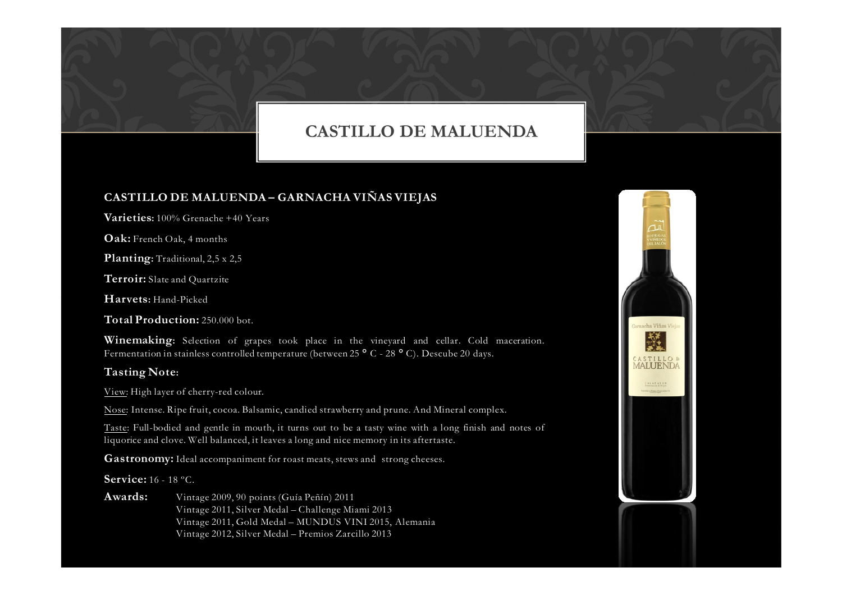## CASTILLO DE MALUENDA

### CASTILLO DE MALUENDA – GARNACHA VIÑAS VIEJAS

**Varieties:** 100% Grenache +40 Years

**Oak:** French Oak, 4 months

Planting: Traditional, 2,5 x 2,5

**Terroir:** Slate and Quartzite

Harvets: Hand-Picked

Total Production: 250.000 bot.

Winemaking: Selection of grapes took place in the vineyard and cellar. Cold maceration. Fermentation in stainless controlled temperature (between 25 ° C - 28 ° C). Descube 20 days.

#### Tasting Note:

View: High layer of cherry-red colour.

Nose: Intense. Ripe fruit, cocoa. Balsamic, candied strawberry and prune. And Mineral complex.

Taste: Full-bodied and gentle in mouth, it turns out to be <sup>a</sup> tasty wine with <sup>a</sup> long finish and notes of liquorice and clove. Well balanced, it leaves <sup>a</sup> long and nice memory in its aftertaste.

**Gastronomy:** Ideal accompaniment for roast meats, stews and strong cheeses.

## **Service:** 16 - 18 °C.

Awards: Vintage 2009, <sup>90</sup> points (Guía Peñín) <sup>2011</sup> Vintage 2011, Silver Medal – Challenge Miami <sup>2013</sup> Vintage 2011, Gold Medal – MUNDUS VINI 2015, Alemania Vintage 2012, Silver Medal – Premios Zarcillo <sup>2013</sup>